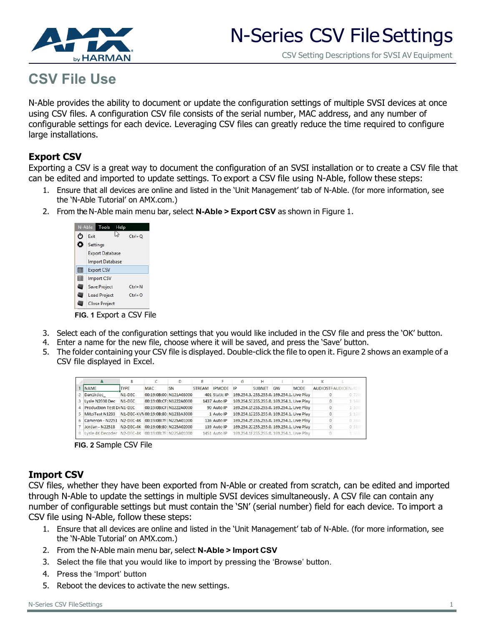

#### CSV Setting Descriptions for SVSI AV Equipment

# **CSV File Use**

N-Able provides the ability to document or update the configuration settings of multiple SVSI devices at once using CSV files. A configuration CSV file consists of the serial number, MAC address, and any number of configurable settings for each device. Leveraging CSV files can greatly reduce the time required to configure large installations.

## **Export CSV**

Exporting a CSV is a great way to document the configuration of an SVSI installation or to create a CSV file that can be edited and imported to update settings. To export a CSV file using N-Able, follow these steps:

- 1. Ensure that all devices are online and listed in the 'Unit Management' tab of N-Able. (for more information, see the 'N-Able Tutorial' on AMX.com.)
- 2. From the N-Able main menu bar, select **N-Able > Export CSV** as shown in Figure 1.

| O | Exit                   | $Ctrl + O$ |
|---|------------------------|------------|
| ۰ | Settings               |            |
|   | <b>Export Database</b> |            |
|   | <b>Import Database</b> |            |
| 賱 | <b>Export CSV</b>      |            |
| 用 | <b>Import CSV</b>      |            |
|   | <b>Save Project</b>    | $Ctrl + N$ |
|   | <b>Load Project</b>    | $Ctrl + O$ |
|   | <b>Close Project</b>   |            |

 **FIG. 1** Export a CSV File

- 3. Select each of the configuration settings that you would like included in the CSV file and press the 'OK' button.
- 4. Enter a name for the new file, choose where it will be saved, and press the 'Save' button.
- 5. The folder containing your CSV file is displayed. Double-click the file to open it. Figure 2 shows an example of a CSV file displayed in Excel.

| А                                                    | B                   |            |                                   |               |               | G                                          | н             |                                            |             | K                          |        |
|------------------------------------------------------|---------------------|------------|-----------------------------------|---------------|---------------|--------------------------------------------|---------------|--------------------------------------------|-------------|----------------------------|--------|
| <b>NAME</b>                                          | <b>TYPE</b>         | <b>MAC</b> | <b>SN</b>                         | <b>STREAM</b> | <b>IPMODE</b> | IP                                         | <b>SUBNET</b> | GW                                         | <b>MODE</b> | <b>AUDIOSTRAUDIOEN/RES</b> |        |
| Dan1kdec                                             | N <sub>1</sub> -DEC |            | 00:19:08:00: N121A03000           |               | 401 Static IP | 169.254.3. 255.255.0. 169.254.1. Live Play |               |                                            |             |                            | 0720:  |
| 3 Lysle N2030 Dec N1-DEC                             |                     |            | 00:19:0B:CF: N1222A0000           |               | 1437 Auto IP  |                                            |               | 169.254.53 255.255.0. 169.254.1. Live Play |             |                            | 1 144  |
| 4 Production Test D(N1-DEC                           |                     |            | 00:19:0B:CF: N1222A0000           |               | 90 Auto IP    |                                            |               | 169.254.15255.255.0. 169.254.1. Live Play  |             |                            | 1 1080 |
| 5 MitziTest N1233 N1-DEC-KVN00:19:0B:80: N1233A3000  |                     |            |                                   |               | 1 Auto IP     |                                            |               | 169.254.12255.255.0. 169.254.1. Live Play  |             |                            | 1 128  |
| 6 Cameron - N2251 N2-DEC-4K 00:19:0B:7F: N225A01000  |                     |            |                                   |               | 136 Auto IP   |                                            |               | 169.254.25255.255.0. 169.254.1. Live Play  |             |                            | 0 384  |
| Jordan - N2251B                                      |                     |            | N2-DEC-4K 00:19:0B:80: N225A02000 |               | 139 Auto IP   |                                            |               | 169.254.22255.255.0. 169.254.1. Live Play  |             |                            | 0 384  |
| 8 Lysle 4K Decoder N2-DEC-4K 00:19:0B:7F: N225A01000 |                     |            |                                   |               | 1451 Auto IP  | 169.254.18255.255.0. 169.254.1. Live Play  |               |                                            |             |                            | 1 384  |

 **FIG. 2** Sample CSV File

## **Import CSV**

CSV files, whether they have been exported from N-Able or created from scratch, can be edited and imported through N-Able to update the settings in multiple SVSI devices simultaneously. A CSV file can contain any number of configurable settings but must contain the 'SN' (serial number) field for each device. To import a CSV file using N-Able, follow these steps:

- 1. Ensure that all devices are online and listed in the 'Unit Management' tab of N-Able. (for more information, see the 'N-Able Tutorial' on AMX.com.)
- 2. From the N-Able main menu bar, select **N-Able > Import CSV**
- 3. Select the file that you would like to import by pressing the 'Browse' button.
- 4. Press the 'Import' button
- 5. Reboot the devices to activate the new settings.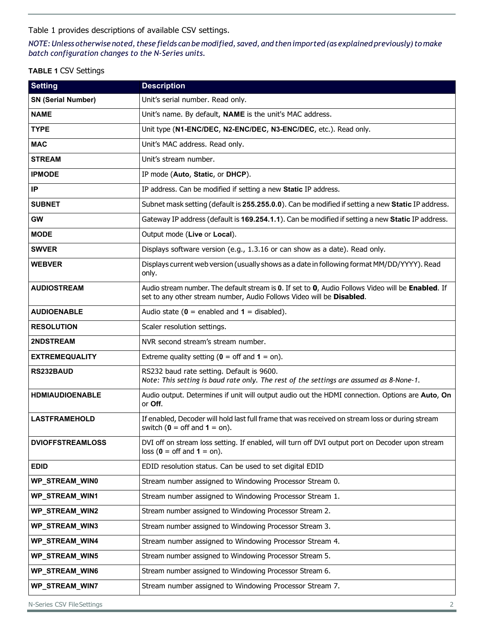[Table 1 p](#page-1-0)rovides descriptions of available CSV settings.

#### NOTE: Unless otherwise noted, these fields can be modified, saved, and then imported (as explained previously) to make *batch configuration changes to the N-Series units.*

#### <span id="page-1-0"></span>**TABLE 1** CSV Settings

| <b>Setting</b>            | <b>Description</b>                                                                                                                                                          |  |  |  |  |
|---------------------------|-----------------------------------------------------------------------------------------------------------------------------------------------------------------------------|--|--|--|--|
| <b>SN (Serial Number)</b> | Unit's serial number. Read only.                                                                                                                                            |  |  |  |  |
| <b>NAME</b>               | Unit's name. By default, NAME is the unit's MAC address.                                                                                                                    |  |  |  |  |
| <b>TYPE</b>               | Unit type (N1-ENC/DEC, N2-ENC/DEC, N3-ENC/DEC, etc.). Read only.                                                                                                            |  |  |  |  |
| <b>MAC</b>                | Unit's MAC address. Read only.                                                                                                                                              |  |  |  |  |
| <b>STREAM</b>             | Unit's stream number.                                                                                                                                                       |  |  |  |  |
| <b>IPMODE</b>             | IP mode (Auto, Static, or DHCP).                                                                                                                                            |  |  |  |  |
| IP                        | IP address. Can be modified if setting a new Static IP address.                                                                                                             |  |  |  |  |
| <b>SUBNET</b>             | Subnet mask setting (default is 255.255.0.0). Can be modified if setting a new Static IP address.                                                                           |  |  |  |  |
| <b>GW</b>                 | Gateway IP address (default is 169.254.1.1). Can be modified if setting a new Static IP address.                                                                            |  |  |  |  |
| <b>MODE</b>               | Output mode (Live or Local).                                                                                                                                                |  |  |  |  |
| <b>SWVER</b>              | Displays software version (e.g., 1.3.16 or can show as a date). Read only.                                                                                                  |  |  |  |  |
| <b>WEBVER</b>             | Displays current web version (usually shows as a date in following format MM/DD/YYYY). Read<br>only.                                                                        |  |  |  |  |
| <b>AUDIOSTREAM</b>        | Audio stream number. The default stream is 0. If set to 0, Audio Follows Video will be Enabled. If<br>set to any other stream number, Audio Follows Video will be Disabled. |  |  |  |  |
| <b>AUDIOENABLE</b>        | Audio state ( $\theta$ = enabled and $\theta$ = disabled).                                                                                                                  |  |  |  |  |
| <b>RESOLUTION</b>         | Scaler resolution settings.                                                                                                                                                 |  |  |  |  |
| <b>2NDSTREAM</b>          | NVR second stream's stream number.                                                                                                                                          |  |  |  |  |
| <b>EXTREMEQUALITY</b>     | Extreme quality setting ( $\theta$ = off and $\theta$ = on).                                                                                                                |  |  |  |  |
| RS232BAUD                 | RS232 baud rate setting. Default is 9600.<br>Note: This setting is baud rate only. The rest of the settings are assumed as 8-None-1.                                        |  |  |  |  |
| <b>HDMIAUDIOENABLE</b>    | Audio output. Determines if unit will output audio out the HDMI connection. Options are Auto, On<br>or Off.                                                                 |  |  |  |  |
| <b>LASTFRAMEHOLD</b>      | If enabled, Decoder will hold last full frame that was received on stream loss or during stream<br>switch ( $\mathbf{0} = \text{off}$ and $\mathbf{1} = \text{on}$ ).       |  |  |  |  |
| <b>DVIOFFSTREAMLOSS</b>   | DVI off on stream loss setting. If enabled, will turn off DVI output port on Decoder upon stream<br>$loss (0 = off and 1 = on).$                                            |  |  |  |  |
| <b>EDID</b>               | EDID resolution status. Can be used to set digital EDID                                                                                                                     |  |  |  |  |
| WP_STREAM_WIN0            | Stream number assigned to Windowing Processor Stream 0.                                                                                                                     |  |  |  |  |
| WP_STREAM_WIN1            | Stream number assigned to Windowing Processor Stream 1.                                                                                                                     |  |  |  |  |
| <b>WP STREAM WIN2</b>     | Stream number assigned to Windowing Processor Stream 2.                                                                                                                     |  |  |  |  |
| WP_STREAM_WIN3            | Stream number assigned to Windowing Processor Stream 3.                                                                                                                     |  |  |  |  |
| WP_STREAM_WIN4            | Stream number assigned to Windowing Processor Stream 4.                                                                                                                     |  |  |  |  |
| WP_STREAM_WIN5            | Stream number assigned to Windowing Processor Stream 5.                                                                                                                     |  |  |  |  |
| <b>WP_STREAM_WIN6</b>     | Stream number assigned to Windowing Processor Stream 6.                                                                                                                     |  |  |  |  |
| WP_STREAM_WIN7            | Stream number assigned to Windowing Processor Stream 7.                                                                                                                     |  |  |  |  |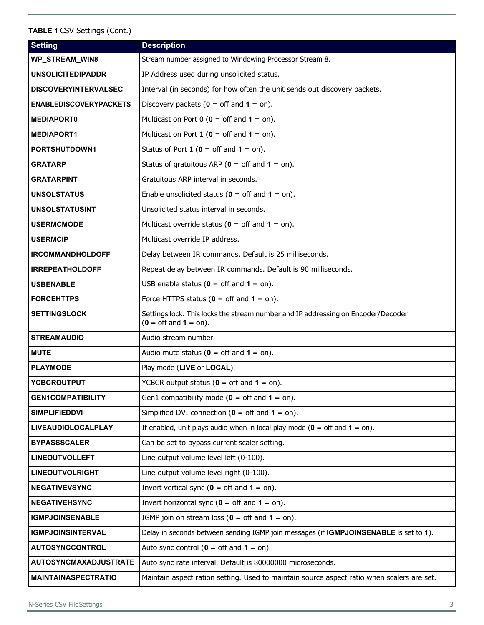| <b>Setting</b>                | <b>Description</b>                                                                                                         |  |  |  |  |  |
|-------------------------------|----------------------------------------------------------------------------------------------------------------------------|--|--|--|--|--|
| WP_STREAM_WIN8                | Stream number assigned to Windowing Processor Stream 8.                                                                    |  |  |  |  |  |
| <b>UNSOLICITEDIPADDR</b>      | IP Address used during unsolicited status.                                                                                 |  |  |  |  |  |
| <b>DISCOVERYINTERVALSEC</b>   | Interval (in seconds) for how often the unit sends out discovery packets.                                                  |  |  |  |  |  |
| <b>ENABLEDISCOVERYPACKETS</b> | Discovery packets ( $\theta$ = off and $\theta$ = on).                                                                     |  |  |  |  |  |
| <b>MEDIAPORT0</b>             | Multicast on Port $0$ ( $0 =$ off and $1 =$ on).                                                                           |  |  |  |  |  |
| <b>MEDIAPORT1</b>             | Multicast on Port 1 ( $\theta$ = off and $1$ = on).                                                                        |  |  |  |  |  |
| PORTSHUTDOWN1                 | Status of Port $1$ ( $0 =$ off and $1 =$ on).                                                                              |  |  |  |  |  |
| <b>GRATARP</b>                | Status of gratuitous ARP ( $\theta$ = off and $\theta$ = on).                                                              |  |  |  |  |  |
| <b>GRATARPINT</b>             | Gratuitous ARP interval in seconds.                                                                                        |  |  |  |  |  |
| <b>UNSOLSTATUS</b>            | Enable unsolicited status ( $\mathbf{0} = \text{off}$ and $\mathbf{1} = \text{on}$ ).                                      |  |  |  |  |  |
| <b>UNSOLSTATUSINT</b>         | Unsolicited status interval in seconds.                                                                                    |  |  |  |  |  |
| <b>USERMCMODE</b>             | Multicast override status ( $\mathbf{0} = \text{off}$ and $\mathbf{1} = \text{on}$ ).                                      |  |  |  |  |  |
| <b>USERMCIP</b>               | Multicast override IP address.                                                                                             |  |  |  |  |  |
| <b>IRCOMMANDHOLDOFF</b>       | Delay between IR commands. Default is 25 milliseconds.                                                                     |  |  |  |  |  |
| <b>IRREPEATHOLDOFF</b>        | Repeat delay between IR commands. Default is 90 milliseconds.                                                              |  |  |  |  |  |
| <b>USBENABLE</b>              | USB enable status ( $\mathbf{0} = \text{off}$ and $\mathbf{1} = \text{on}$ ).                                              |  |  |  |  |  |
| <b>FORCEHTTPS</b>             | Force HTTPS status ( $0 =$ off and $1 =$ on).                                                                              |  |  |  |  |  |
| <b>SETTINGSLOCK</b>           | Settings lock. This locks the stream number and IP addressing on Encoder/Decoder<br>$(0 = \text{off and } 1 = \text{on}).$ |  |  |  |  |  |
| <b>STREAMAUDIO</b>            | Audio stream number.                                                                                                       |  |  |  |  |  |
| <b>MUTE</b>                   | Audio mute status ( $0 =$ off and $1 =$ on).                                                                               |  |  |  |  |  |
| <b>PLAYMODE</b>               | Play mode (LIVE or LOCAL).                                                                                                 |  |  |  |  |  |
| <b>YCBCROUTPUT</b>            | YCBCR output status ( $0 =$ off and $1 =$ on).                                                                             |  |  |  |  |  |
| <b>GEN1COMPATIBILITY</b>      | Gen1 compatibility mode ( $\theta$ = off and $1 =$ on).                                                                    |  |  |  |  |  |
| <b>SIMPLIFIEDDVI</b>          | Simplified DVI connection ( $\theta$ = off and $\theta$ = on).                                                             |  |  |  |  |  |
| <b>LIVEAUDIOLOCALPLAY</b>     | If enabled, unit plays audio when in local play mode ( $\theta$ = off and $1$ = on).                                       |  |  |  |  |  |
| <b>BYPASSSCALER</b>           | Can be set to bypass current scaler setting.                                                                               |  |  |  |  |  |
| <b>LINEOUTVOLLEFT</b>         | Line output volume level left (0-100).                                                                                     |  |  |  |  |  |
| <b>LINEOUTVOLRIGHT</b>        | Line output volume level right (0-100).                                                                                    |  |  |  |  |  |
| <b>NEGATIVEVSYNC</b>          | Invert vertical sync $(0 = \text{off and } 1 = \text{on}).$                                                                |  |  |  |  |  |
| <b>NEGATIVEHSYNC</b>          | Invert horizontal sync ( $\mathbf{0} = \text{off}$ and $\mathbf{1} = \text{on}$ ).                                         |  |  |  |  |  |
| <b>IGMPJOINSENABLE</b>        | IGMP join on stream loss ( $0 =$ off and $1 =$ on).                                                                        |  |  |  |  |  |
| <b>IGMPJOINSINTERVAL</b>      | Delay in seconds between sending IGMP join messages (if IGMPJOINSENABLE is set to 1).                                      |  |  |  |  |  |
| <b>AUTOSYNCCONTROL</b>        | Auto sync control ( $\mathbf{0} = \text{off}$ and $\mathbf{1} = \text{on}$ ).                                              |  |  |  |  |  |
| <b>AUTOSYNCMAXADJUSTRATE</b>  | Auto sync rate interval. Default is 80000000 microseconds.                                                                 |  |  |  |  |  |
| <b>MAINTAINASPECTRATIO</b>    | Maintain aspect ration setting. Used to maintain source aspect ratio when scalers are set.                                 |  |  |  |  |  |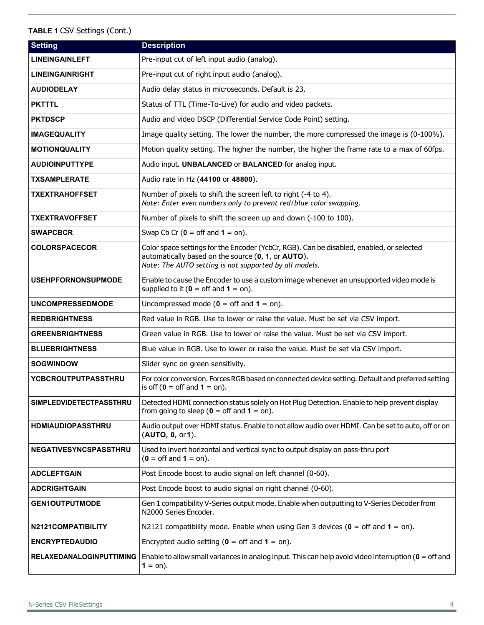| <b>Setting</b>                  | <b>Description</b>                                                                                                                                                                                       |  |  |  |  |
|---------------------------------|----------------------------------------------------------------------------------------------------------------------------------------------------------------------------------------------------------|--|--|--|--|
| <b>LINEINGAINLEFT</b>           | Pre-input cut of left input audio (analog).                                                                                                                                                              |  |  |  |  |
| <b>LINEINGAINRIGHT</b>          | Pre-input cut of right input audio (analog).                                                                                                                                                             |  |  |  |  |
| <b>AUDIODELAY</b>               | Audio delay status in microseconds. Default is 23.                                                                                                                                                       |  |  |  |  |
| <b>PKTTTL</b>                   | Status of TTL (Time-To-Live) for audio and video packets.                                                                                                                                                |  |  |  |  |
| <b>PKTDSCP</b>                  | Audio and video DSCP (Differential Service Code Point) setting.                                                                                                                                          |  |  |  |  |
| <b>IMAGEQUALITY</b>             | Image quality setting. The lower the number, the more compressed the image is (0-100%).                                                                                                                  |  |  |  |  |
| <b>MOTIONQUALITY</b>            | Motion quality setting. The higher the number, the higher the frame rate to a max of 60fps.                                                                                                              |  |  |  |  |
| <b>AUDIOINPUTTYPE</b>           | Audio input. UNBALANCED or BALANCED for analog input.                                                                                                                                                    |  |  |  |  |
| <b>TXSAMPLERATE</b>             | Audio rate in Hz (44100 or 48800).                                                                                                                                                                       |  |  |  |  |
| <b>TXEXTRAHOFFSET</b>           | Number of pixels to shift the screen left to right (-4 to 4).<br>Note: Enter even numbers only to prevent red/blue color swapping.                                                                       |  |  |  |  |
| TXEXTRAVOFFSET                  | Number of pixels to shift the screen up and down (-100 to 100).                                                                                                                                          |  |  |  |  |
| <b>SWAPCBCR</b>                 | Swap Cb Cr $(0 = \text{off and } 1 = \text{on}).$                                                                                                                                                        |  |  |  |  |
| <b>COLORSPACECOR</b>            | Color space settings for the Encoder (YcbCr, RGB). Can be disabled, enabled, or selected<br>automatically based on the source (0, 1, or AUTO).<br>Note: The AUTO setting is not supported by all models. |  |  |  |  |
| <b>USEHPFORNONSUPMODE</b>       | Enable to cause the Encoder to use a custom image whenever an unsupported video mode is<br>supplied to it ( $\mathbf{0} = \text{off}$ and $\mathbf{1} = \text{on}$ ).                                    |  |  |  |  |
| <b>UNCOMPRESSEDMODE</b>         | Uncompressed mode ( $\theta$ = off and $\theta$ = on).                                                                                                                                                   |  |  |  |  |
| <b>REDBRIGHTNESS</b>            | Red value in RGB. Use to lower or raise the value. Must be set via CSV import.                                                                                                                           |  |  |  |  |
| <b>GREENBRIGHTNESS</b>          | Green value in RGB. Use to lower or raise the value. Must be set via CSV import.                                                                                                                         |  |  |  |  |
| <b>BLUEBRIGHTNESS</b>           | Blue value in RGB. Use to lower or raise the value. Must be set via CSV import.                                                                                                                          |  |  |  |  |
| <b>SOGWINDOW</b>                | Slider sync on green sensitivity.                                                                                                                                                                        |  |  |  |  |
| <b>YCBCROUTPUTPASSTHRU</b>      | For color conversion. Forces RGB based on connected device setting. Default and preferred setting<br>is off ( $\mathbf{0} = \text{off}$ and $\mathbf{1} = \text{on}$ ).                                  |  |  |  |  |
| <b>SIMPLEDVIDETECTPASSTHRU</b>  | Detected HDMI connection status solely on Hot Plug Detection. Enable to help prevent display<br>from going to sleep ( $\theta$ = off and $\theta$ = on).                                                 |  |  |  |  |
| <b>HDMIAUDIOPASSTHRU</b>        | Audio output over HDMI status. Enable to not allow audio over HDMI. Can be set to auto, off or on<br>(AUTO, 0, or 1).                                                                                    |  |  |  |  |
| <b>NEGATIVESYNCSPASSTHRU</b>    | Used to invert horizontal and vertical sync to output display on pass-thru port<br>$(0 = \text{off and } 1 = \text{on}).$                                                                                |  |  |  |  |
| <b>ADCLEFTGAIN</b>              | Post Encode boost to audio signal on left channel (0-60).                                                                                                                                                |  |  |  |  |
| <b>ADCRIGHTGAIN</b>             | Post Encode boost to audio signal on right channel (0-60).                                                                                                                                               |  |  |  |  |
| <b>GEN1OUTPUTMODE</b>           | Gen 1 compatibility V-Series output mode. Enable when outputting to V-Series Decoder from<br>N2000 Series Encoder.                                                                                       |  |  |  |  |
| N2121COMPATIBILITY              | N2121 compatibility mode. Enable when using Gen 3 devices ( $0 =$ off and $1 =$ on).                                                                                                                     |  |  |  |  |
| <b>ENCRYPTEDAUDIO</b>           | Encrypted audio setting ( $0 =$ off and $1 =$ on).                                                                                                                                                       |  |  |  |  |
| <b>RELAXEDANALOGINPUTTIMING</b> | Enable to allow small variances in analog input. This can help avoid video interruption ( $\theta$ = off and<br>$1 =$ on).                                                                               |  |  |  |  |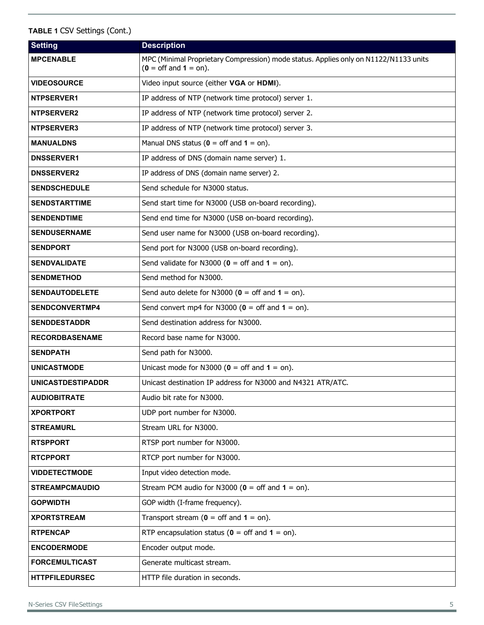| <b>Setting</b>           | <b>Description</b>                                                                                                             |  |  |  |  |  |
|--------------------------|--------------------------------------------------------------------------------------------------------------------------------|--|--|--|--|--|
| <b>MPCENABLE</b>         | MPC (Minimal Proprietary Compression) mode status. Applies only on N1122/N1133 units<br>$(0 = \text{off and } 1 = \text{on}).$ |  |  |  |  |  |
| <b>VIDEOSOURCE</b>       | Video input source (either VGA or HDMI).                                                                                       |  |  |  |  |  |
| NTPSERVER1               | IP address of NTP (network time protocol) server 1.                                                                            |  |  |  |  |  |
| <b>NTPSERVER2</b>        | IP address of NTP (network time protocol) server 2.                                                                            |  |  |  |  |  |
| <b>NTPSERVER3</b>        | IP address of NTP (network time protocol) server 3.                                                                            |  |  |  |  |  |
| <b>MANUALDNS</b>         | Manual DNS status ( $0 =$ off and $1 =$ on).                                                                                   |  |  |  |  |  |
| <b>DNSSERVER1</b>        | IP address of DNS (domain name server) 1.                                                                                      |  |  |  |  |  |
| <b>DNSSERVER2</b>        | IP address of DNS (domain name server) 2.                                                                                      |  |  |  |  |  |
| <b>SENDSCHEDULE</b>      | Send schedule for N3000 status.                                                                                                |  |  |  |  |  |
| <b>SENDSTARTTIME</b>     | Send start time for N3000 (USB on-board recording).                                                                            |  |  |  |  |  |
| <b>SENDENDTIME</b>       | Send end time for N3000 (USB on-board recording).                                                                              |  |  |  |  |  |
| <b>SENDUSERNAME</b>      | Send user name for N3000 (USB on-board recording).                                                                             |  |  |  |  |  |
| <b>SENDPORT</b>          | Send port for N3000 (USB on-board recording).                                                                                  |  |  |  |  |  |
| <b>SENDVALIDATE</b>      | Send validate for N3000 ( $\theta$ = off and $\theta$ = on).                                                                   |  |  |  |  |  |
| <b>SENDMETHOD</b>        | Send method for N3000.                                                                                                         |  |  |  |  |  |
| <b>SENDAUTODELETE</b>    | Send auto delete for N3000 ( $\theta$ = off and $1 =$ on).                                                                     |  |  |  |  |  |
| <b>SENDCONVERTMP4</b>    | Send convert mp4 for N3000 ( $\theta$ = off and $\theta$ = on).                                                                |  |  |  |  |  |
| <b>SENDDESTADDR</b>      | Send destination address for N3000.                                                                                            |  |  |  |  |  |
| <b>RECORDBASENAME</b>    | Record base name for N3000.                                                                                                    |  |  |  |  |  |
| <b>SENDPATH</b>          | Send path for N3000.                                                                                                           |  |  |  |  |  |
| <b>UNICASTMODE</b>       | Unicast mode for N3000 ( $\theta$ = off and $\theta$ = on).                                                                    |  |  |  |  |  |
| <b>UNICASTDESTIPADDR</b> | Unicast destination IP address for N3000 and N4321 ATR/ATC.                                                                    |  |  |  |  |  |
| <b>AUDIOBITRATE</b>      | Audio bit rate for N3000.                                                                                                      |  |  |  |  |  |
| <b>XPORTPORT</b>         | UDP port number for N3000.                                                                                                     |  |  |  |  |  |
| <b>STREAMURL</b>         | Stream URL for N3000.                                                                                                          |  |  |  |  |  |
| <b>RTSPPORT</b>          | RTSP port number for N3000.                                                                                                    |  |  |  |  |  |
| <b>RTCPPORT</b>          | RTCP port number for N3000.                                                                                                    |  |  |  |  |  |
| <b>VIDDETECTMODE</b>     | Input video detection mode.                                                                                                    |  |  |  |  |  |
| <b>STREAMPCMAUDIO</b>    | Stream PCM audio for N3000 ( $\theta$ = off and $1 =$ on).                                                                     |  |  |  |  |  |
| <b>GOPWIDTH</b>          | GOP width (I-frame frequency).                                                                                                 |  |  |  |  |  |
| <b>XPORTSTREAM</b>       | Transport stream ( $0 =$ off and $1 =$ on).                                                                                    |  |  |  |  |  |
| <b>RTPENCAP</b>          | RTP encapsulation status ( $0 =$ off and $1 =$ on).                                                                            |  |  |  |  |  |
| <b>ENCODERMODE</b>       | Encoder output mode.                                                                                                           |  |  |  |  |  |
| <b>FORCEMULTICAST</b>    | Generate multicast stream.                                                                                                     |  |  |  |  |  |
| <b>HTTPFILEDURSEC</b>    | HTTP file duration in seconds.                                                                                                 |  |  |  |  |  |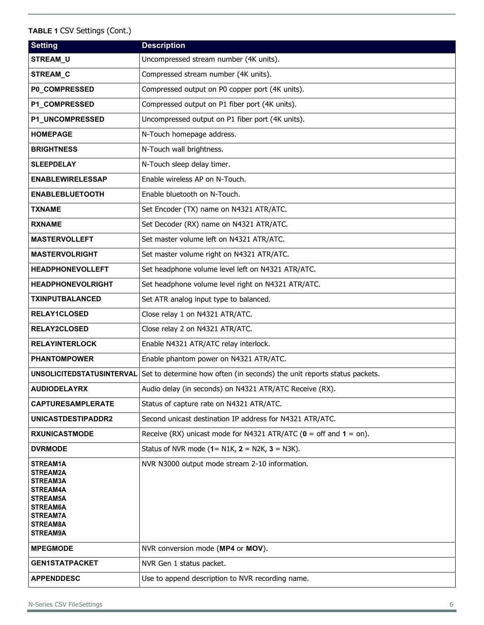| <b>Setting</b>                   | <b>Description</b>                                                               |
|----------------------------------|----------------------------------------------------------------------------------|
| STREAM_U                         | Uncompressed stream number (4K units).                                           |
| STREAM_C                         | Compressed stream number (4K units).                                             |
| P0_COMPRESSED                    | Compressed output on P0 copper port (4K units).                                  |
| P1_COMPRESSED                    | Compressed output on P1 fiber port (4K units).                                   |
| P1_UNCOMPRESSED                  | Uncompressed output on P1 fiber port (4K units).                                 |
| <b>HOMEPAGE</b>                  | N-Touch homepage address.                                                        |
| <b>BRIGHTNESS</b>                | N-Touch wall brightness.                                                         |
| <b>SLEEPDELAY</b>                | N-Touch sleep delay timer.                                                       |
| <b>ENABLEWIRELESSAP</b>          | Enable wireless AP on N-Touch.                                                   |
| <b>ENABLEBLUETOOTH</b>           | Enable bluetooth on N-Touch.                                                     |
| <b>TXNAME</b>                    | Set Encoder (TX) name on N4321 ATR/ATC.                                          |
| <b>RXNAME</b>                    | Set Decoder (RX) name on N4321 ATR/ATC.                                          |
| <b>MASTERVOLLEFT</b>             | Set master volume left on N4321 ATR/ATC.                                         |
| <b>MASTERVOLRIGHT</b>            | Set master volume right on N4321 ATR/ATC.                                        |
| <b>HEADPHONEVOLLEFT</b>          | Set headphone volume level left on N4321 ATR/ATC.                                |
| <b>HEADPHONEVOLRIGHT</b>         | Set headphone volume level right on N4321 ATR/ATC.                               |
| <b>TXINPUTBALANCED</b>           | Set ATR analog input type to balanced.                                           |
| <b>RELAY1CLOSED</b>              | Close relay 1 on N4321 ATR/ATC.                                                  |
| <b>RELAY2CLOSED</b>              | Close relay 2 on N4321 ATR/ATC.                                                  |
| <b>RELAYINTERLOCK</b>            | Enable N4321 ATR/ATC relay interlock.                                            |
| <b>PHANTOMPOWER</b>              | Enable phantom power on N4321 ATR/ATC.                                           |
| <b>UNSOLICITEDSTATUSINTERVAL</b> | Set to determine how often (in seconds) the unit reports status packets.         |
| <b>AUDIODELAYRX</b>              | Audio delay (in seconds) on N4321 ATR/ATC Receive (RX).                          |
| <b>CAPTURESAMPLERATE</b>         | Status of capture rate on N4321 ATR/ATC.                                         |
| UNICASTDESTIPADDR2               | Second unicast destination IP address for N4321 ATR/ATC.                         |
| <b>RXUNICASTMODE</b>             | Receive (RX) unicast mode for N4321 ATR/ATC ( $\theta$ = off and $\theta$ = on). |
| <b>DVRMODE</b>                   | Status of NVR mode $(1 = N1K, 2 = N2K, 3 = N3K)$ .                               |
| STREAM1A<br>STREAM2A             | NVR N3000 output mode stream 2-10 information.                                   |
| STREAM3A<br>STREAM4A             |                                                                                  |
| STREAM5A                         |                                                                                  |
| STREAM6A<br><b>STREAM7A</b>      |                                                                                  |
| STREAM8A<br>STREAM9A             |                                                                                  |
| <b>MPEGMODE</b>                  | NVR conversion mode (MP4 or MOV).                                                |
| <b>GEN1STATPACKET</b>            | NVR Gen 1 status packet.                                                         |
| <b>APPENDDESC</b>                | Use to append description to NVR recording name.                                 |